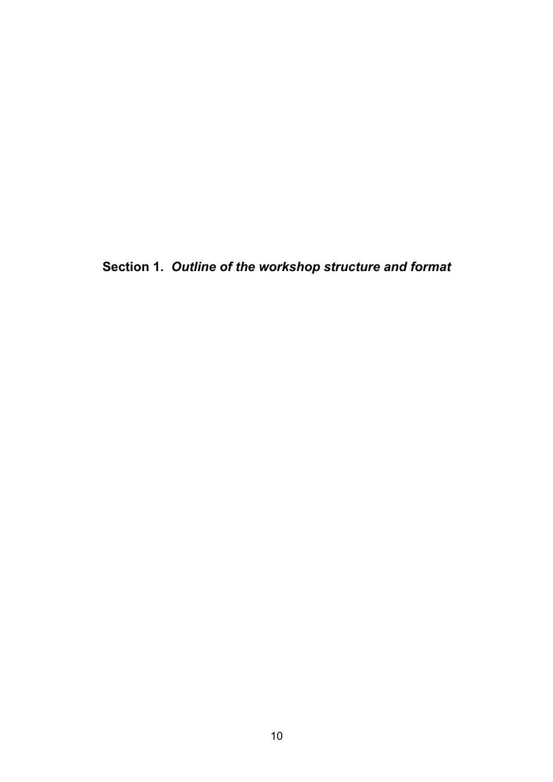**Section 1.** *Outline of the workshop structure and format*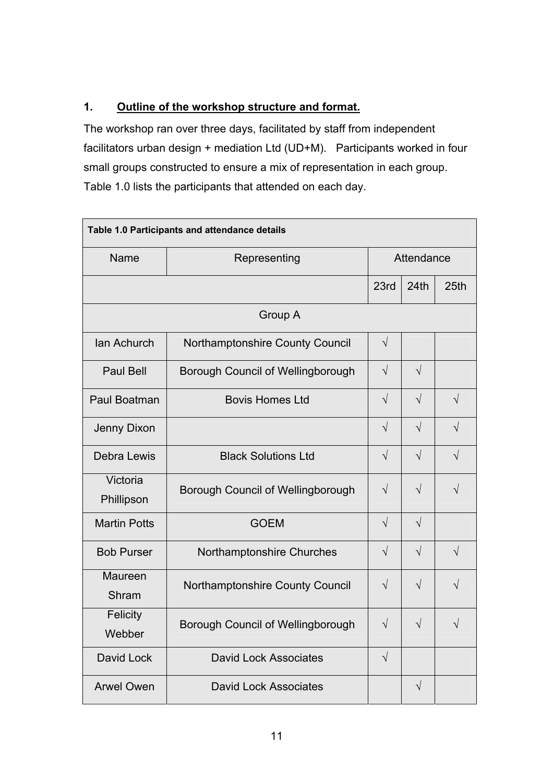## **1. Outline of the workshop structure and format.**

The workshop ran over three days, facilitated by staff from independent facilitators urban design + mediation Ltd (UD+M). Participants worked in four small groups constructed to ensure a mix of representation in each group. Table 1.0 lists the participants that attended on each day.

| Table 1.0 Participants and attendance details |                                   |            |            |            |
|-----------------------------------------------|-----------------------------------|------------|------------|------------|
| Name                                          | Representing                      | Attendance |            |            |
|                                               |                                   | 23rd       | 24th       | 25th       |
|                                               | Group A                           |            |            |            |
| Ian Achurch                                   | Northamptonshire County Council   | $\sqrt{}$  |            |            |
| <b>Paul Bell</b>                              | Borough Council of Wellingborough | $\sqrt{ }$ | $\sqrt{}$  |            |
| Paul Boatman                                  | <b>Bovis Homes Ltd</b>            | $\sqrt{}$  | $\sqrt{}$  | $\sqrt{}$  |
| Jenny Dixon                                   |                                   | $\sqrt{ }$ | $\sqrt{2}$ | $\sqrt{2}$ |
| Debra Lewis                                   | <b>Black Solutions Ltd</b>        | $\sqrt{}$  | $\sqrt{}$  | $\sqrt{ }$ |
| Victoria<br>Phillipson                        | Borough Council of Wellingborough | $\sqrt{}$  | $\sqrt{}$  | $\sqrt{ }$ |
| <b>Martin Potts</b>                           | <b>GOEM</b>                       | $\sqrt{}$  | $\sqrt{}$  |            |
| <b>Bob Purser</b>                             | Northamptonshire Churches         | $\sqrt{}$  | $\sqrt{}$  | $\sqrt{}$  |
| <b>Maureen</b><br>Shram                       | Northamptonshire County Council   | $\sqrt{}$  | $\sqrt{}$  | $\sqrt{}$  |
| Felicity<br>Webber                            | Borough Council of Wellingborough | $\sqrt{}$  | $\sqrt{}$  | $\sqrt{}$  |
| David Lock                                    | <b>David Lock Associates</b>      | $\sqrt{}$  |            |            |
| <b>Arwel Owen</b>                             | <b>David Lock Associates</b>      |            | $\sqrt{}$  |            |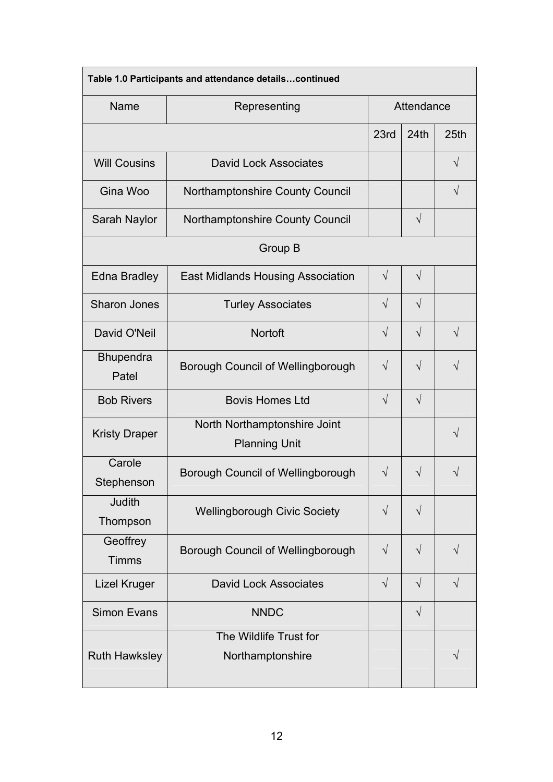| Table 1.0 Participants and attendance detailscontinued |                                                      |            |            |            |
|--------------------------------------------------------|------------------------------------------------------|------------|------------|------------|
| Name                                                   | Representing                                         | Attendance |            |            |
|                                                        |                                                      | 23rd       | 24th       | 25th       |
| <b>Will Cousins</b>                                    | <b>David Lock Associates</b>                         |            |            | $\sqrt{ }$ |
| Gina Woo                                               | Northamptonshire County Council                      |            |            | $\sqrt{}$  |
| Sarah Naylor                                           | Northamptonshire County Council                      |            | $\sqrt{}$  |            |
| Group B                                                |                                                      |            |            |            |
| <b>Edna Bradley</b>                                    | <b>East Midlands Housing Association</b>             | $\sqrt{ }$ | $\sqrt{ }$ |            |
| <b>Sharon Jones</b>                                    | <b>Turley Associates</b>                             | $\sqrt{}$  | $\sqrt{ }$ |            |
| David O'Neil                                           | Nortoft                                              | $\sqrt{ }$ | $\sqrt{}$  | $\sqrt{ }$ |
| <b>Bhupendra</b><br>Patel                              | Borough Council of Wellingborough                    | $\sqrt{}$  | $\sqrt{}$  | $\sqrt{ }$ |
| <b>Bob Rivers</b>                                      | <b>Bovis Homes Ltd</b>                               | $\sqrt{}$  | $\sqrt{}$  |            |
| <b>Kristy Draper</b>                                   | North Northamptonshire Joint<br><b>Planning Unit</b> |            |            | $\sqrt{}$  |
| Carole<br>Stephenson                                   | Borough Council of Wellingborough                    | $\sqrt{ }$ | V          |            |
| Judith<br>Thompson                                     | <b>Wellingborough Civic Society</b>                  | $\sqrt{}$  | $\sqrt{}$  |            |
| Geoffrey<br><b>Timms</b>                               | Borough Council of Wellingborough                    | $\sqrt{}$  | $\sqrt{}$  | V          |
| Lizel Kruger                                           | <b>David Lock Associates</b>                         | $\sqrt{}$  | $\sqrt{ }$ | $\sqrt{}$  |
| <b>Simon Evans</b>                                     | <b>NNDC</b>                                          |            | $\sqrt{}$  |            |
| <b>Ruth Hawksley</b>                                   | The Wildlife Trust for<br>Northamptonshire           |            |            | V          |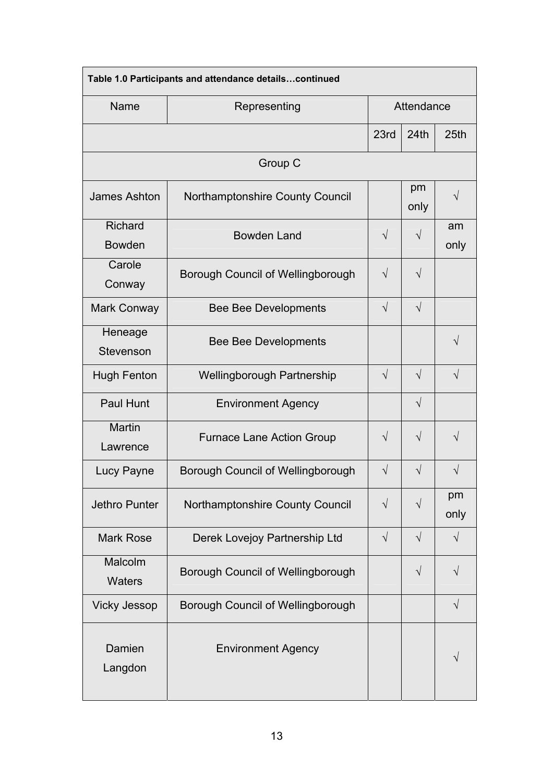|                                 | Table 1.0 Participants and attendance detailscontinued |            |            |            |
|---------------------------------|--------------------------------------------------------|------------|------------|------------|
| Name                            | Representing                                           | Attendance |            |            |
|                                 |                                                        | 23rd       | 24th       | 25th       |
|                                 | Group C                                                |            |            |            |
| <b>James Ashton</b>             | Northamptonshire County Council                        |            | pm<br>only | V          |
| <b>Richard</b><br><b>Bowden</b> | <b>Bowden Land</b>                                     | $\sqrt{}$  | $\sqrt{}$  | am<br>only |
| Carole<br>Conway                | Borough Council of Wellingborough                      | $\sqrt{ }$ | $\sqrt{}$  |            |
| Mark Conway                     | <b>Bee Bee Developments</b>                            | $\sqrt{ }$ | $\sqrt{}$  |            |
| Heneage<br>Stevenson            | <b>Bee Bee Developments</b>                            |            |            | V          |
| <b>Hugh Fenton</b>              | <b>Wellingborough Partnership</b>                      | $\sqrt{}$  | $\sqrt{}$  | $\sqrt{ }$ |
| <b>Paul Hunt</b>                | <b>Environment Agency</b>                              |            | $\sqrt{}$  |            |
| <b>Martin</b><br>Lawrence       | <b>Furnace Lane Action Group</b>                       | $\sqrt{ }$ | $\sqrt{}$  | $\sqrt{}$  |
| Lucy Payne                      | Borough Council of Wellingborough                      | $\sqrt{ }$ | $\sqrt{}$  |            |
| Jethro Punter                   | Northamptonshire County Council                        | $\sqrt{}$  | $\sqrt{}$  | pm<br>only |
| <b>Mark Rose</b>                | Derek Lovejoy Partnership Ltd                          | $\sqrt{}$  | $\sqrt{ }$ | $\sqrt{ }$ |
| Malcolm<br><b>Waters</b>        | Borough Council of Wellingborough                      |            | $\sqrt{}$  | V          |
| <b>Vicky Jessop</b>             | Borough Council of Wellingborough                      |            |            | $\sqrt{}$  |
| Damien<br>Langdon               | <b>Environment Agency</b>                              |            |            |            |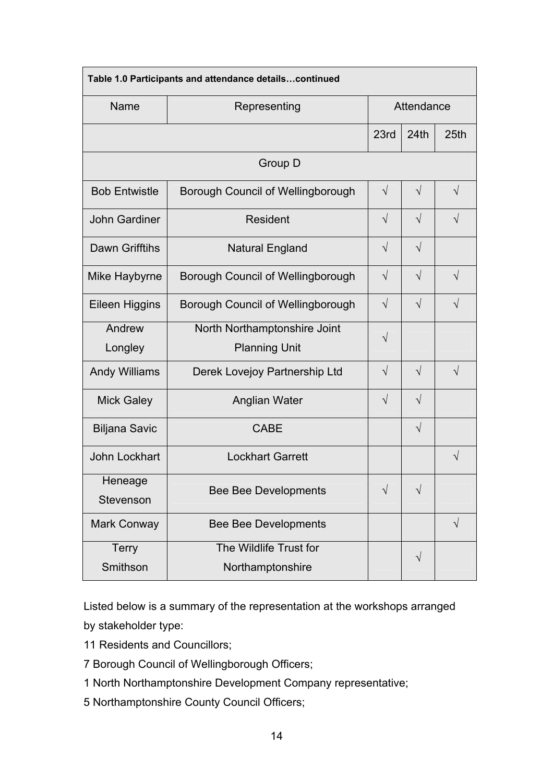| Table 1.0 Participants and attendance detailscontinued |                                          |            |            |            |
|--------------------------------------------------------|------------------------------------------|------------|------------|------------|
| Name                                                   | Representing                             | Attendance |            |            |
|                                                        |                                          | 23rd       | 24th       | 25th       |
| Group D                                                |                                          |            |            |            |
| <b>Bob Entwistle</b>                                   | Borough Council of Wellingborough        | $\sqrt{}$  | $\sqrt{ }$ | $\sqrt{}$  |
| <b>John Gardiner</b>                                   | Resident                                 | $\sqrt{}$  | $\sqrt{ }$ | $\sqrt{ }$ |
| <b>Dawn Grifftihs</b>                                  | <b>Natural England</b>                   | $\sqrt{}$  | $\sqrt{2}$ |            |
| Mike Haybyrne                                          | <b>Borough Council of Wellingborough</b> | $\sqrt{ }$ | $\sqrt{ }$ | $\sqrt{}$  |
| <b>Eileen Higgins</b>                                  | Borough Council of Wellingborough        | $\sqrt{}$  | $\sqrt{ }$ | $\sqrt{ }$ |
| Andrew                                                 | North Northamptonshire Joint             | $\sqrt{}$  |            |            |
| Longley                                                | <b>Planning Unit</b>                     |            |            |            |
| <b>Andy Williams</b>                                   | Derek Lovejoy Partnership Ltd            | $\sqrt{ }$ | $\sqrt{ }$ | $\sqrt{ }$ |
| <b>Mick Galey</b>                                      | Anglian Water                            | $\sqrt{}$  | $\sqrt{}$  |            |
| <b>Biljana Savic</b>                                   | <b>CABE</b>                              |            | $\sqrt{}$  |            |
| John Lockhart                                          | <b>Lockhart Garrett</b>                  |            |            | $\sqrt{ }$ |
| Heneage                                                | <b>Bee Bee Developments</b>              |            | V          |            |
| Stevenson                                              |                                          |            |            |            |
| Mark Conway                                            | <b>Bee Bee Developments</b>              |            |            | $\sqrt{}$  |
| <b>Terry</b>                                           | The Wildlife Trust for                   |            | $\sqrt{}$  |            |
| Smithson                                               | Northamptonshire                         |            |            |            |

Listed below is a summary of the representation at the workshops arranged by stakeholder type:

- 11 Residents and Councillors;
- 7 Borough Council of Wellingborough Officers;
- 1 North Northamptonshire Development Company representative;
- 5 Northamptonshire County Council Officers;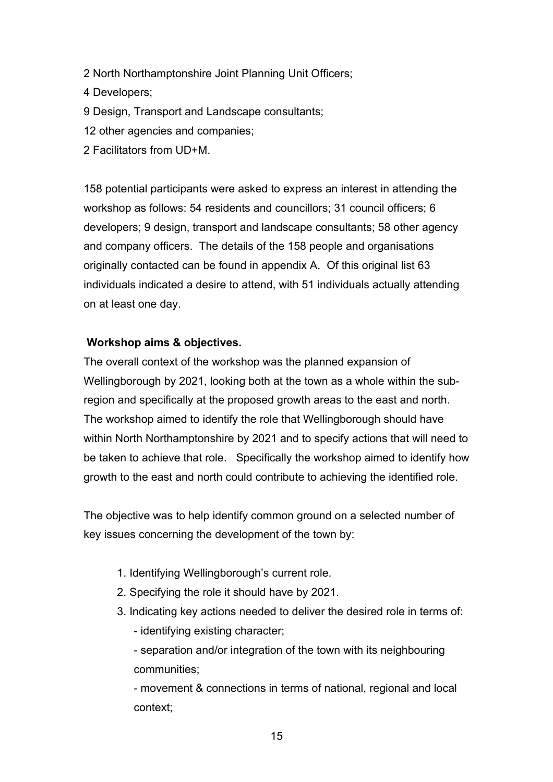- 2 North Northamptonshire Joint Planning Unit Officers;
- 4 Developers;
- 9 Design, Transport and Landscape consultants;
- 12 other agencies and companies;
- 2 Facilitators from UD+M.

158 potential participants were asked to express an interest in attending the workshop as follows: 54 residents and councillors; 31 council officers; 6 developers; 9 design, transport and landscape consultants; 58 other agency and company officers. The details of the 158 people and organisations originally contacted can be found in appendix A. Of this original list 63 individuals indicated a desire to attend, with 51 individuals actually attending on at least one day.

## **Workshop aims & objectives.**

The overall context of the workshop was the planned expansion of Wellingborough by 2021, looking both at the town as a whole within the subregion and specifically at the proposed growth areas to the east and north. The workshop aimed to identify the role that Wellingborough should have within North Northamptonshire by 2021 and to specify actions that will need to be taken to achieve that role. Specifically the workshop aimed to identify how growth to the east and north could contribute to achieving the identified role.

The objective was to help identify common ground on a selected number of key issues concerning the development of the town by:

- 1. Identifying Wellingborough's current role.
- 2. Specifying the role it should have by 2021.
- 3. Indicating key actions needed to deliver the desired role in terms of:
	- identifying existing character;

- separation and/or integration of the town with its neighbouring communities;

- movement & connections in terms of national, regional and local context;